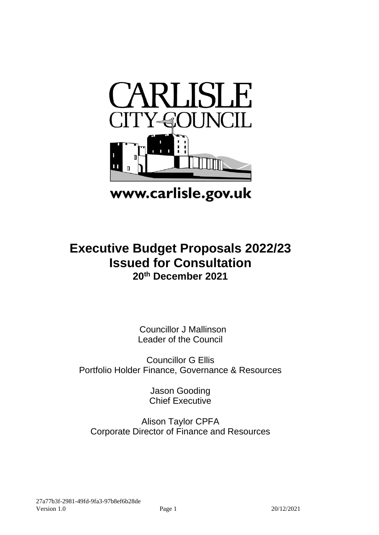

# www.carlisle.gov.uk

# **Executive Budget Proposals 2022/23 Issued for Consultation 20th December 2021**

Councillor J Mallinson Leader of the Council

Councillor G Ellis Portfolio Holder Finance, Governance & Resources

> Jason Gooding Chief Executive

Alison Taylor CPFA Corporate Director of Finance and Resources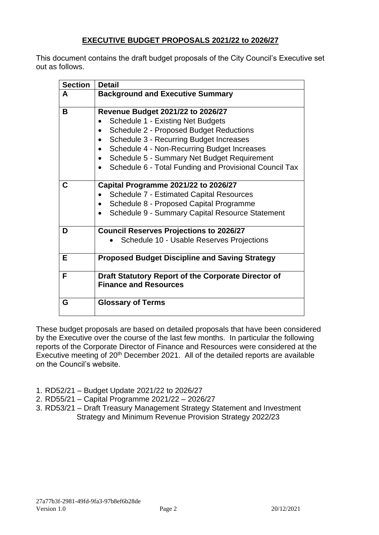# **EXECUTIVE BUDGET PROPOSALS 2021/22 to 2026/27**

This document contains the draft budget proposals of the City Council's Executive set out as follows.

| <b>Section</b> | <b>Detail</b>                                                                                                                                                                                                                                                                                                                                          |
|----------------|--------------------------------------------------------------------------------------------------------------------------------------------------------------------------------------------------------------------------------------------------------------------------------------------------------------------------------------------------------|
| A              | <b>Background and Executive Summary</b>                                                                                                                                                                                                                                                                                                                |
| B              | <b>Revenue Budget 2021/22 to 2026/27</b><br><b>Schedule 1 - Existing Net Budgets</b><br><b>Schedule 2 - Proposed Budget Reductions</b><br>$\bullet$<br>Schedule 3 - Recurring Budget Increases<br>Schedule 4 - Non-Recurring Budget Increases<br>Schedule 5 - Summary Net Budget Requirement<br>Schedule 6 - Total Funding and Provisional Council Tax |
| C              | Capital Programme 2021/22 to 2026/27<br><b>Schedule 7 - Estimated Capital Resources</b><br>Schedule 8 - Proposed Capital Programme<br>Schedule 9 - Summary Capital Resource Statement                                                                                                                                                                  |
| D              | <b>Council Reserves Projections to 2026/27</b><br>Schedule 10 - Usable Reserves Projections                                                                                                                                                                                                                                                            |
| Е              | <b>Proposed Budget Discipline and Saving Strategy</b>                                                                                                                                                                                                                                                                                                  |
| F              | Draft Statutory Report of the Corporate Director of<br><b>Finance and Resources</b>                                                                                                                                                                                                                                                                    |
| G              | <b>Glossary of Terms</b>                                                                                                                                                                                                                                                                                                                               |

These budget proposals are based on detailed proposals that have been considered by the Executive over the course of the last few months. In particular the following reports of the Corporate Director of Finance and Resources were considered at the Executive meeting of 20<sup>th</sup> December 2021. All of the detailed reports are available on the Council's website.

- 1. RD52/21 Budget Update 2021/22 to 2026/27
- 2. RD55/21 Capital Programme 2021/22 2026/27
- 3. RD53/21 Draft Treasury Management Strategy Statement and Investment Strategy and Minimum Revenue Provision Strategy 2022/23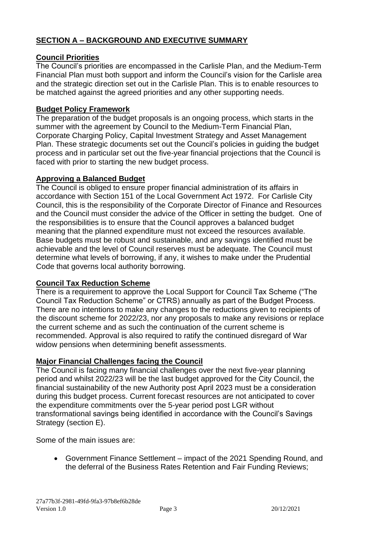# **SECTION A – BACKGROUND AND EXECUTIVE SUMMARY**

#### **Council Priorities**

The Council's priorities are encompassed in the Carlisle Plan, and the Medium-Term Financial Plan must both support and inform the Council's vision for the Carlisle area and the strategic direction set out in the Carlisle Plan. This is to enable resources to be matched against the agreed priorities and any other supporting needs.

### **Budget Policy Framework**

The preparation of the budget proposals is an ongoing process, which starts in the summer with the agreement by Council to the Medium-Term Financial Plan, Corporate Charging Policy, Capital Investment Strategy and Asset Management Plan. These strategic documents set out the Council's policies in guiding the budget process and in particular set out the five-year financial projections that the Council is faced with prior to starting the new budget process.

#### **Approving a Balanced Budget**

The Council is obliged to ensure proper financial administration of its affairs in accordance with Section 151 of the Local Government Act 1972. For Carlisle City Council, this is the responsibility of the Corporate Director of Finance and Resources and the Council must consider the advice of the Officer in setting the budget. One of the responsibilities is to ensure that the Council approves a balanced budget meaning that the planned expenditure must not exceed the resources available. Base budgets must be robust and sustainable, and any savings identified must be achievable and the level of Council reserves must be adequate. The Council must determine what levels of borrowing, if any, it wishes to make under the Prudential Code that governs local authority borrowing.

#### **Council Tax Reduction Scheme**

There is a requirement to approve the Local Support for Council Tax Scheme ("The Council Tax Reduction Scheme" or CTRS) annually as part of the Budget Process. There are no intentions to make any changes to the reductions given to recipients of the discount scheme for 2022/23, nor any proposals to make any revisions or replace the current scheme and as such the continuation of the current scheme is recommended. Approval is also required to ratify the continued disregard of War widow pensions when determining benefit assessments.

#### **Major Financial Challenges facing the Council**

The Council is facing many financial challenges over the next five-year planning period and whilst 2022/23 will be the last budget approved for the City Council, the financial sustainability of the new Authority post April 2023 must be a consideration during this budget process. Current forecast resources are not anticipated to cover the expenditure commitments over the 5-year period post LGR without transformational savings being identified in accordance with the Council's Savings Strategy (section E).

Some of the main issues are:

• Government Finance Settlement – impact of the 2021 Spending Round, and the deferral of the Business Rates Retention and Fair Funding Reviews;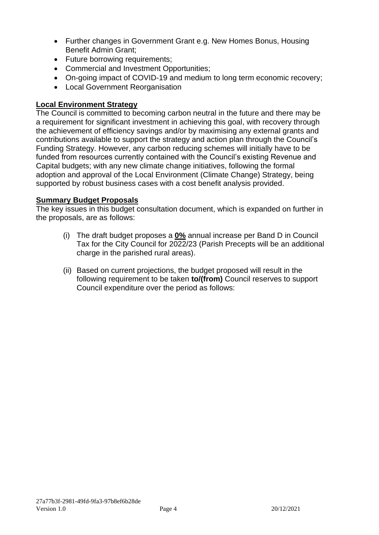- Further changes in Government Grant e.g. New Homes Bonus, Housing Benefit Admin Grant;
- Future borrowing requirements;
- Commercial and Investment Opportunities;
- On-going impact of COVID-19 and medium to long term economic recovery;
- Local Government Reorganisation

### **Local Environment Strategy**

The Council is committed to becoming carbon neutral in the future and there may be a requirement for significant investment in achieving this goal, with recovery through the achievement of efficiency savings and/or by maximising any external grants and contributions available to support the strategy and action plan through the Council's Funding Strategy. However, any carbon reducing schemes will initially have to be funded from resources currently contained with the Council's existing Revenue and Capital budgets; with any new climate change initiatives, following the formal adoption and approval of the Local Environment (Climate Change) Strategy, being supported by robust business cases with a cost benefit analysis provided.

#### **Summary Budget Proposals**

The key issues in this budget consultation document, which is expanded on further in the proposals, are as follows:

- (i) The draft budget proposes a **0%** annual increase per Band D in Council Tax for the City Council for 2022/23 (Parish Precepts will be an additional charge in the parished rural areas).
- (ii) Based on current projections, the budget proposed will result in the following requirement to be taken **to/(from)** Council reserves to support Council expenditure over the period as follows: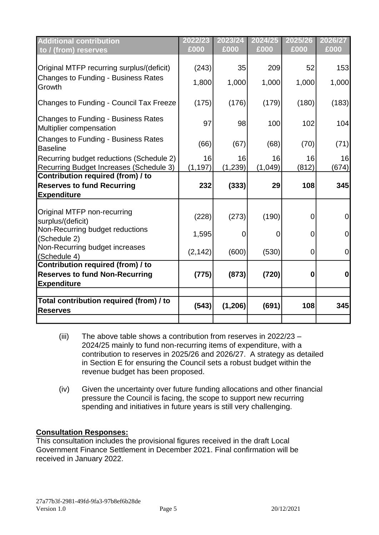| <b>Additional contribution</b><br>to / (from) reserves                              | 2022/23<br>£000 | 2023/24<br>£000 | 2024/25<br>£000 | 2025/26<br>£000 | 2026/27<br>£000 |
|-------------------------------------------------------------------------------------|-----------------|-----------------|-----------------|-----------------|-----------------|
| Original MTFP recurring surplus/(deficit)                                           | (243)           | 35              | 209             | 52              | 153             |
| <b>Changes to Funding - Business Rates</b><br>Growth                                | 1,800           | 1,000           | 1,000           | 1,000           | 1,000           |
| Changes to Funding - Council Tax Freeze                                             | (175)           | (176)           | (179)           | (180)           | (183)           |
| <b>Changes to Funding - Business Rates</b><br>Multiplier compensation               | 97              | 98              | 100             | 102             | 104             |
| <b>Changes to Funding - Business Rates</b><br><b>Baseline</b>                       | (66)            | (67)            | (68)            | (70)            | (71)            |
| Recurring budget reductions (Schedule 2)<br>Recurring Budget Increases (Schedule 3) | 16<br>(1, 197)  | 16<br>(1,239)   | 16<br>(1,049)   | 16<br>(812)     | 16<br>(674)     |
| Contribution required (from) / to                                                   |                 |                 |                 |                 |                 |
| <b>Reserves to fund Recurring</b>                                                   | 232             | (333)           | 29              | 108             | 345             |
| <b>Expenditure</b>                                                                  |                 |                 |                 |                 |                 |
| Original MTFP non-recurring<br>surplus/(deficit)                                    | (228)           | (273)           | (190)           | 0               | $\Omega$        |
| Non-Recurring budget reductions<br>(Schedule 2)                                     | 1,595           | 0               | 0               | $\overline{0}$  | 0               |
| Non-Recurring budget increases<br>(Schedule 4)                                      | (2, 142)        | (600)           | (530)           | 0               | $\overline{0}$  |
| Contribution required (from) / to                                                   |                 |                 |                 |                 |                 |
| <b>Reserves to fund Non-Recurring</b>                                               | (775)           | (873)           | (720)           | $\bf{0}$        | $\mathbf 0$     |
| <b>Expenditure</b>                                                                  |                 |                 |                 |                 |                 |
|                                                                                     |                 |                 |                 |                 |                 |
| Total contribution required (from) / to<br><b>Reserves</b>                          | (543)           | (1,206)         | (691)           | 108             | 345             |
|                                                                                     |                 |                 |                 |                 |                 |

- (iii) The above table shows a contribution from reserves in 2022/23 2024/25 mainly to fund non-recurring items of expenditure, with a contribution to reserves in 2025/26 and 2026/27. A strategy as detailed in Section E for ensuring the Council sets a robust budget within the revenue budget has been proposed.
- (iv) Given the uncertainty over future funding allocations and other financial pressure the Council is facing, the scope to support new recurring spending and initiatives in future years is still very challenging.

#### **Consultation Responses:**

This consultation includes the provisional figures received in the draft Local Government Finance Settlement in December 2021. Final confirmation will be received in January 2022.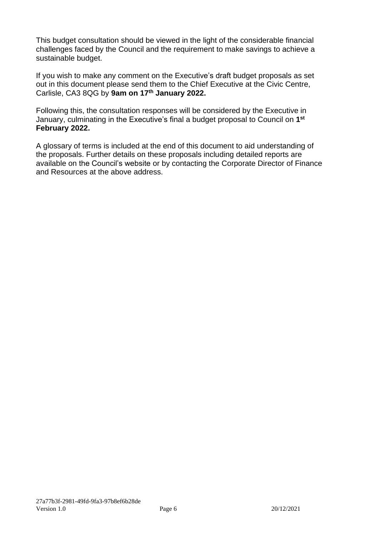This budget consultation should be viewed in the light of the considerable financial challenges faced by the Council and the requirement to make savings to achieve a sustainable budget.

If you wish to make any comment on the Executive's draft budget proposals as set out in this document please send them to the Chief Executive at the Civic Centre, Carlisle, CA3 8QG by **9am on 17 th January 2022.**

Following this, the consultation responses will be considered by the Executive in January, culminating in the Executive's final a budget proposal to Council on **1 st February 2022.**

A glossary of terms is included at the end of this document to aid understanding of the proposals. Further details on these proposals including detailed reports are available on the Council's website or by contacting the Corporate Director of Finance and Resources at the above address.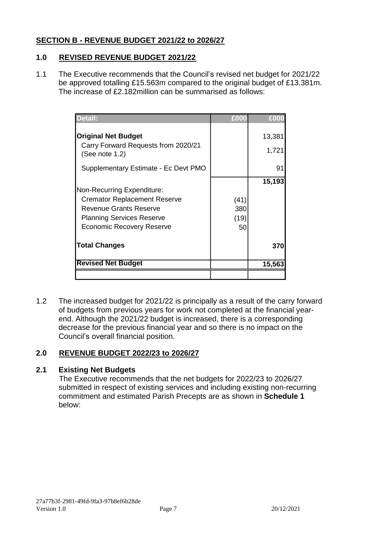#### **SECTION B - REVENUE BUDGET 2021/22 to 2026/27**

# **1.0 REVISED REVENUE BUDGET 2021/22**

1.1 The Executive recommends that the Council's revised net budget for 2021/22 be approved totalling £15.563m compared to the original budget of £13.381m. The increase of £2.182million can be summarised as follows:

| Detail:                                                                                                                                                                    | £000                      | £000   |
|----------------------------------------------------------------------------------------------------------------------------------------------------------------------------|---------------------------|--------|
| <b>Original Net Budget</b>                                                                                                                                                 |                           | 13,381 |
| Carry Forward Requests from 2020/21<br>(See note 1.2)                                                                                                                      |                           | 1,721  |
| Supplementary Estimate - Ec Devt PMO                                                                                                                                       |                           | 91     |
| Non-Recurring Expenditure:<br><b>Cremator Replacement Reserve</b><br><b>Revenue Grants Reserve</b><br><b>Planning Services Reserve</b><br><b>Economic Recovery Reserve</b> | (41)<br>380<br>(19)<br>50 | 15,193 |
| <b>Total Changes</b>                                                                                                                                                       |                           | 370    |
| <b>Revised Net Budget</b>                                                                                                                                                  |                           | 15,563 |
|                                                                                                                                                                            |                           |        |

1.2 The increased budget for 2021/22 is principally as a result of the carry forward of budgets from previous years for work not completed at the financial yearend. Although the 2021/22 budget is increased, there is a corresponding decrease for the previous financial year and so there is no impact on the Council's overall financial position.

#### **2.0 REVENUE BUDGET 2022/23 to 2026/27**

#### **2.1 Existing Net Budgets**

The Executive recommends that the net budgets for 2022/23 to 2026/27 submitted in respect of existing services and including existing non-recurring commitment and estimated Parish Precepts are as shown in **Schedule 1**  below: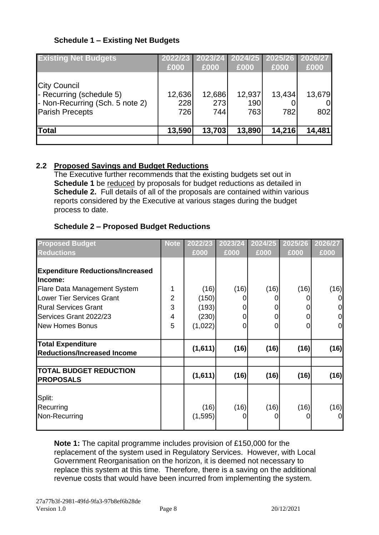# **Schedule 1 – Existing Net Budgets**

| <b>Existing Net Budgets</b>                                                 | 2022/23<br>£000 | 2023/24<br>£000 | 2024/25<br>£000 | 2025/26<br>£000 | 2026/27<br>£000 |
|-----------------------------------------------------------------------------|-----------------|-----------------|-----------------|-----------------|-----------------|
| City Council<br>- Recurring (schedule 5)<br>- Non-Recurring (Sch. 5 note 2) | 12,636<br>228   | 12,686<br>273   | 12,937<br>190   | 13,434          | 13,679<br>Οl    |
| <b>Parish Precepts</b>                                                      | 726             | 744             | 763             | 782             | 802             |
| Total                                                                       | 13,590          | 13,703          | 13,890          | 14,216          | 14,481          |

# **2.2 Proposed Savings and Budget Reductions**

The Executive further recommends that the existing budgets set out in **Schedule 1** be reduced by proposals for budget reductions as detailed in **Schedule 2.** Full details of all of the proposals are contained within various reports considered by the Executive at various stages during the budget process to date.

#### **Schedule 2 – Proposed Budget Reductions**

| <b>Proposed Budget</b>                                          | <b>Note</b>         | 2022/23          | 2023/24   | 2024/25     | 2025/26 | 2026/27             |
|-----------------------------------------------------------------|---------------------|------------------|-----------|-------------|---------|---------------------|
| <b>Reductions</b>                                               |                     | £000             | £000      | £000        | £000    | £000                |
| <b>Expenditure Reductions/Increased</b><br>llncome:             |                     |                  |           |             |         |                     |
| <b>Flare Data Management System</b>                             | 1                   | (16)             | (16)      | (16)        | (16)    | (16)                |
| <b>Lower Tier Services Grant</b><br><b>Rural Services Grant</b> | $\overline{2}$<br>3 | (150)<br>(193)   |           | 0           |         | 0                   |
| Services Grant 2022/23                                          | 4                   | (230)            | 0         | 0           |         | $\mathsf{O}\xspace$ |
| <b>New Homes Bonus</b>                                          | 5                   | (1,022)          | 0         | $\mathbf 0$ | 0       | $\overline{0}$      |
| <b>Total Expenditure</b><br><b>Reductions/Increased Income</b>  |                     | (1,611)          | (16)      | (16)        | (16)    | (16)                |
| <b>TOTAL BUDGET REDUCTION</b><br><b>PROPOSALS</b>               |                     | (1,611)          | (16)      | (16)        | (16)    | (16)                |
| Split:<br>Recurring<br>Non-Recurring                            |                     | (16)<br>(1, 595) | (16)<br>0 | (16)<br>0   | (16)    | (16)<br>0           |

**Note 1:** The capital programme includes provision of £150,000 for the replacement of the system used in Regulatory Services. However, with Local Government Reorganisation on the horizon, it is deemed not necessary to replace this system at this time. Therefore, there is a saving on the additional revenue costs that would have been incurred from implementing the system.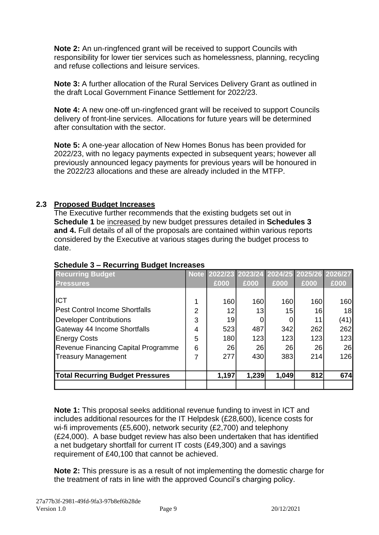**Note 2:** An un-ringfenced grant will be received to support Councils with responsibility for lower tier services such as homelessness, planning, recycling and refuse collections and leisure services.

**Note 3:** A further allocation of the Rural Services Delivery Grant as outlined in the draft Local Government Finance Settlement for 2022/23.

**Note 4:** A new one-off un-ringfenced grant will be received to support Councils delivery of front-line services. Allocations for future years will be determined after consultation with the sector.

**Note 5:** A one-year allocation of New Homes Bonus has been provided for 2022/23, with no legacy payments expected in subsequent years; however all previously announced legacy payments for previous years will be honoured in the 2022/23 allocations and these are already included in the MTFP.

#### **2.3 Proposed Budget Increases**

The Executive further recommends that the existing budgets set out in **Schedule 1** be increased by new budget pressures detailed in **Schedules 3 and 4.** Full details of all of the proposals are contained within various reports considered by the Executive at various stages during the budget process to date.

| <b>Recurring Budget</b>                 |                | Note 2022/23 2023/24 2024/25 2025/26 2026/27 |       |       |      |      |
|-----------------------------------------|----------------|----------------------------------------------|-------|-------|------|------|
| <b>Pressures</b>                        |                | £000                                         | £000  | £000  | £000 | £000 |
|                                         |                |                                              |       |       |      |      |
| <b>IICT</b>                             | 1              | 160                                          | 160   | 160   | 160  | 160  |
| <b>Pest Control Income Shortfalls</b>   | $\overline{2}$ | 12                                           | 13    | 15    | 16   | 18   |
| <b>Developer Contributions</b>          | 3              | 19                                           |       |       | 11   | (41) |
| Gateway 44 Income Shortfalls            | 4              | 523                                          | 487   | 342   | 262  | 262  |
| <b>Energy Costs</b>                     | 5              | 180                                          | 123   | 123   | 123  | 123  |
| Revenue Financing Capital Programme     | 6              | 26                                           | 26    | 26    | 26   | 26   |
| <b>Treasury Management</b>              | 7              | 277                                          | 430   | 383   | 214  | 126  |
|                                         |                |                                              |       |       |      |      |
| <b>Total Recurring Budget Pressures</b> |                | 1,197                                        | 1,239 | 1,049 | 812  | 674  |
|                                         |                |                                              |       |       |      |      |

#### **Schedule 3 – Recurring Budget Increases**

**Note 1:** This proposal seeks additional revenue funding to invest in ICT and includes additional resources for the IT Helpdesk (£28,600), licence costs for wi-fi improvements (£5,600), network security (£2,700) and telephony (£24,000). A base budget review has also been undertaken that has identified a net budgetary shortfall for current IT costs (£49,300) and a savings requirement of £40,100 that cannot be achieved.

**Note 2:** This pressure is as a result of not implementing the domestic charge for the treatment of rats in line with the approved Council's charging policy.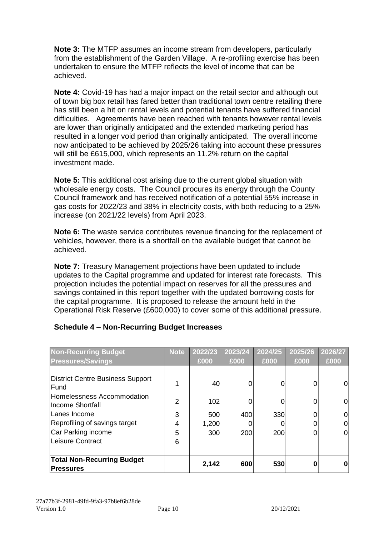**Note 3:** The MTFP assumes an income stream from developers, particularly from the establishment of the Garden Village. A re-profiling exercise has been undertaken to ensure the MTFP reflects the level of income that can be achieved.

**Note 4:** Covid-19 has had a major impact on the retail sector and although out of town big box retail has fared better than traditional town centre retailing there has still been a hit on rental levels and potential tenants have suffered financial difficulties. Agreements have been reached with tenants however rental levels are lower than originally anticipated and the extended marketing period has resulted in a longer void period than originally anticipated. The overall income now anticipated to be achieved by 2025/26 taking into account these pressures will still be £615,000, which represents an 11.2% return on the capital investment made.

**Note 5:** This additional cost arising due to the current global situation with wholesale energy costs. The Council procures its energy through the County Council framework and has received notification of a potential 55% increase in gas costs for 2022/23 and 38% in electricity costs, with both reducing to a 25% increase (on 2021/22 levels) from April 2023.

**Note 6:** The waste service contributes revenue financing for the replacement of vehicles, however, there is a shortfall on the available budget that cannot be achieved.

**Note 7:** Treasury Management projections have been updated to include updates to the Capital programme and updated for interest rate forecasts. This projection includes the potential impact on reserves for all the pressures and savings contained in this report together with the updated borrowing costs for the capital programme. It is proposed to release the amount held in the Operational Risk Reserve (£600,000) to cover some of this additional pressure.

| <b>Non-Recurring Budget</b>                                                                | <b>Note</b>   | 2022/23   | 2023/24 | 2024/25 | 2025/26 | 2026/27 |
|--------------------------------------------------------------------------------------------|---------------|-----------|---------|---------|---------|---------|
| <b>Pressures/Savings</b>                                                                   |               | £000      | £000    | £000    | £000    | £000    |
| District Centre Business Support<br>Fund<br>Homelessness Accommodation<br>Income Shortfall | $\mathcal{P}$ | 40<br>102 |         | 0<br>0  | 0<br>0  | 0<br>0  |
| Lanes Income                                                                               | 3             | 500       | 400     | 330     | 0       | 0       |
| Reprofiling of savings target                                                              | 4             | 1,200     |         | 0       | 0       | 0       |
| Car Parking income<br>Leisure Contract                                                     | 5<br>6        | 300       | 200     | 200     | 0       | 0       |
| <b>Total Non-Recurring Budget</b><br>Pressures                                             |               | 2,142     | 600     | 530     |         |         |

#### **Schedule 4 – Non-Recurring Budget Increases**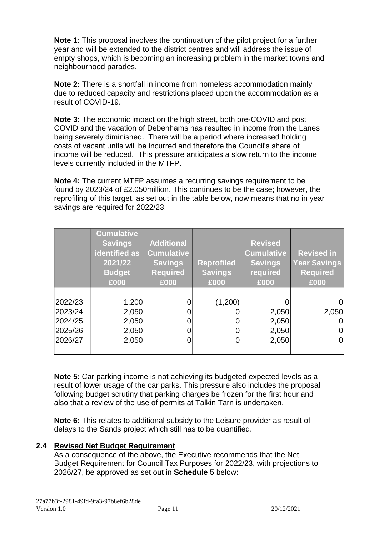**Note 1**: This proposal involves the continuation of the pilot project for a further year and will be extended to the district centres and will address the issue of empty shops, which is becoming an increasing problem in the market towns and neighbourhood parades.

**Note 2:** There is a shortfall in income from homeless accommodation mainly due to reduced capacity and restrictions placed upon the accommodation as a result of COVID-19.

**Note 3:** The economic impact on the high street, both pre-COVID and post COVID and the vacation of Debenhams has resulted in income from the Lanes being severely diminished. There will be a period where increased holding costs of vacant units will be incurred and therefore the Council's share of income will be reduced. This pressure anticipates a slow return to the income levels currently included in the MTFP.

**Note 4:** The current MTFP assumes a recurring savings requirement to be found by 2023/24 of £2.050million. This continues to be the case; however, the reprofiling of this target, as set out in the table below, now means that no in year savings are required for 2022/23.

|                                                     | <b>Cumulative</b><br><b>Savings</b><br>identified as<br>2021/22<br><b>Budget</b><br>£000 | <b>Additional</b><br><b>Cumulative</b><br><b>Savings</b><br><b>Required</b><br>£000 | <b>Reprofiled</b><br><b>Savings</b><br>£000 | <b>Revised</b><br><b>Cumulative</b><br><b>Savings</b><br>required<br>£000 | <b>Revised in</b><br><b>Year Savings</b><br><b>Required</b><br>£000 |
|-----------------------------------------------------|------------------------------------------------------------------------------------------|-------------------------------------------------------------------------------------|---------------------------------------------|---------------------------------------------------------------------------|---------------------------------------------------------------------|
| 2022/23<br>2023/24<br>2024/25<br>2025/26<br>2026/27 | 1,200<br>2,050<br>2,050<br>2,050<br>2,050                                                |                                                                                     | (1,200)                                     | 2,050<br>2,050<br>2,050<br>2,050                                          | 2,050<br>O<br>0<br>0                                                |

**Note 5:** Car parking income is not achieving its budgeted expected levels as a result of lower usage of the car parks. This pressure also includes the proposal following budget scrutiny that parking charges be frozen for the first hour and also that a review of the use of permits at Talkin Tarn is undertaken.

**Note 6:** This relates to additional subsidy to the Leisure provider as result of delays to the Sands project which still has to be quantified.

#### **2.4 Revised Net Budget Requirement**

As a consequence of the above, the Executive recommends that the Net Budget Requirement for Council Tax Purposes for 2022/23, with projections to 2026/27, be approved as set out in **Schedule 5** below: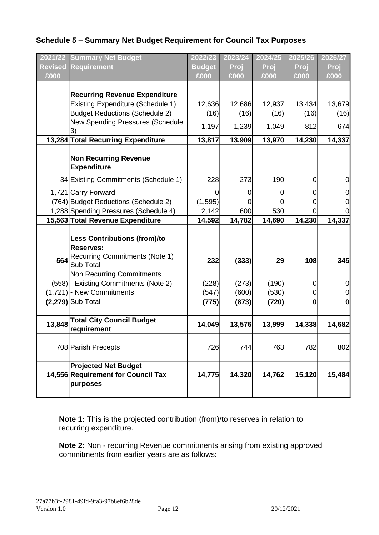### **Schedule 5 – Summary Net Budget Requirement for Council Tax Purposes**

|                | 2021/22 Summary Net Budget                                                                             | 2022/23       | 2023/24 | 2024/25     | 2025/26        | 2026/27  |
|----------------|--------------------------------------------------------------------------------------------------------|---------------|---------|-------------|----------------|----------|
| <b>Revised</b> | Requirement                                                                                            | <b>Budget</b> | Proj    | <b>Proj</b> | Proj           | Proj     |
| £000           |                                                                                                        | £000          | £000    | £000        | £000           | £000     |
|                |                                                                                                        |               |         |             |                |          |
|                | <b>Recurring Revenue Expenditure</b>                                                                   |               |         |             |                |          |
|                | <b>Existing Expenditure (Schedule 1)</b>                                                               | 12,636        | 12,686  | 12,937      | 13,434         | 13,679   |
|                | <b>Budget Reductions (Schedule 2)</b>                                                                  | (16)          | (16)    | (16)        | (16)           | (16)     |
|                | New Spending Pressures (Schedule<br>3)                                                                 | 1,197         | 1,239   | 1,049       | 812            | 674      |
|                | 13,284 Total Recurring Expenditure                                                                     | 13,817        | 13,909  | 13,970      | 14,230         | 14,337   |
|                | <b>Non Recurring Revenue</b><br><b>Expenditure</b>                                                     |               |         |             |                |          |
|                | 34 Existing Commitments (Schedule 1)                                                                   | 228           | 273     | 190         | 0              | 0        |
|                | 1,721 Carry Forward                                                                                    |               | 0       | 0           | 0              | 0        |
|                | (764) Budget Reductions (Schedule 2)                                                                   | (1, 595)      |         | 0           | 0              | 0        |
|                | 1,288 Spending Pressures (Schedule 4)                                                                  | 2,142         | 600     | 530         | 0              |          |
|                | 15,563 Total Revenue Expenditure                                                                       | 14,592        | 14,782  | 14,690      | 14,230         | 14,337   |
| 564            | <b>Less Contributions (from)/to</b><br><b>Reserves:</b><br>Recurring Commitments (Note 1)<br>Sub Total | 232           | (333)   | 29          | 108            | 345      |
|                | Non Recurring Commitments                                                                              |               |         |             |                |          |
|                | (558) - Existing Commitments (Note 2)                                                                  | (228)         | (273)   | (190)       | 0              | 0        |
|                | $(1,721)$ - New Commitments                                                                            | (547)         | (600)   | (530)       | $\overline{0}$ | 0        |
|                | $(2,279)$ Sub Total                                                                                    | (775)         | (873)   | (720)       | $\bf{0}$       | $\bf{0}$ |
| 13,848         | <b>Total City Council Budget</b><br>requirement                                                        | 14,049        | 13,576  | 13,999      | 14,338         | 14,682   |
|                | 708 Parish Precepts                                                                                    | 726           | 744     | 763         | 782            | 802      |
|                | <b>Projected Net Budget</b><br>14,556 Requirement for Council Tax<br>purposes                          | 14,775        | 14,320  | 14,762      | 15,120         | 15,484   |
|                |                                                                                                        |               |         |             |                |          |

**Note 1:** This is the projected contribution (from)/to reserves in relation to recurring expenditure.

**Note 2:** Non - recurring Revenue commitments arising from existing approved commitments from earlier years are as follows: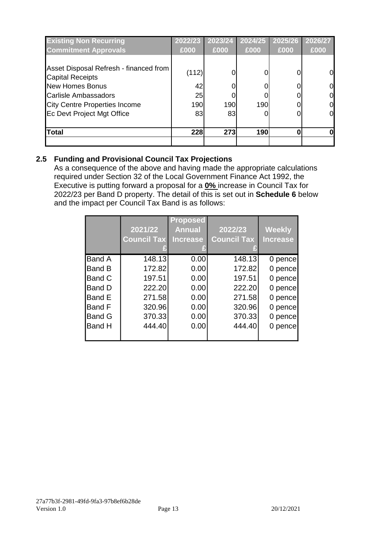| <b>Existing Non Recurring</b>                     | 2022/23 | 2023/24 | 2024/25 | 2025/26 | 2026/27        |
|---------------------------------------------------|---------|---------|---------|---------|----------------|
| <b>Commitment Approvals</b>                       | £000    | £000    | £000    | £000    | £000           |
| Asset Disposal Refresh - financed from            | (112)   |         |         |         | 0              |
| <b>Capital Receipts</b><br><b>New Homes Bonus</b> | 42      |         |         |         | $\overline{0}$ |
| <b>Carlisle Ambassadors</b>                       | 25      |         |         |         | $\overline{0}$ |
| <b>City Centre Properties Income</b>              | 190     | 190     | 190     |         | $\overline{0}$ |
| Ec Devt Project Mgt Office                        | 83      | 83      |         |         | 0              |
| <b>Total</b>                                      | 228     | 273     | 190     |         | 0              |
|                                                   |         |         |         |         |                |

# **2.5 Funding and Provisional Council Tax Projections**

As a consequence of the above and having made the appropriate calculations required under Section 32 of the Local Government Finance Act 1992, the Executive is putting forward a proposal for a **0%** increase in Council Tax for 2022/23 per Band D property. The detail of this is set out in **Schedule 6** below and the impact per Council Tax Band is as follows:

|               | 2021/22<br><b>Council Tax</b> | <b>Proposed</b><br><b>Annual</b><br><b>Increase</b> | 2022/23<br><b>Council Tax</b> | <b>Weekly</b><br><b>Increase</b> |
|---------------|-------------------------------|-----------------------------------------------------|-------------------------------|----------------------------------|
| <b>Band A</b> | 148.13                        | 0.00                                                | 148.13                        | 0 pence                          |
| <b>Band B</b> | 172.82                        | 0.00                                                | 172.82                        | 0 pence                          |
| <b>Band C</b> | 197.51                        | 0.00                                                | 197.51                        | 0 pence                          |
| Band D        | 222.20                        | 0.00                                                | 222.20                        | 0 pence                          |
| Band E        | 271.58                        | 0.00                                                | 271.58                        | 0 pence                          |
| <b>Band F</b> | 320.96                        | 0.00                                                | 320.96                        | 0 pence                          |
| <b>Band G</b> | 370.33                        | 0.00                                                | 370.33                        | 0 pence                          |
| <b>Band H</b> | 444.40                        | 0.00                                                | 444.40                        | 0 pence                          |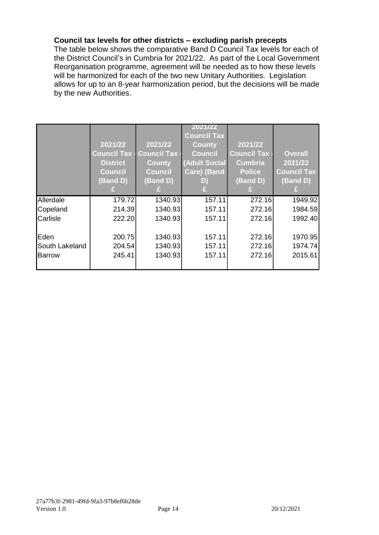#### **Council tax levels for other districts – excluding parish precepts**

The table below shows the comparative Band D Council Tax levels for each of the District Council's in Cumbria for 2021/22. As part of the Local Government Reorganisation programme, agreement will be needed as to how these levels will be harmonized for each of the two new Unitary Authorities. Legislation allows for up to an 8-year harmonization period, but the decisions will be made by the new Authorities.

|                | 2021/22<br><b>Council Tax -</b><br><b>District</b><br><b>Council</b> | 2021/22<br><b>Council Tax -</b><br><b>County</b><br><b>Council</b> | 2021/22<br><b>Council Tax</b><br><b>County</b><br><b>Council</b><br><b>Adult Social</b><br>Care) (Band | 2021/22<br><b>Council Tax -</b><br><b>Cumbria</b><br><b>Police</b> | <b>Overall</b><br>2021/22<br><b>Council Tax</b> |
|----------------|----------------------------------------------------------------------|--------------------------------------------------------------------|--------------------------------------------------------------------------------------------------------|--------------------------------------------------------------------|-------------------------------------------------|
|                | (Band D)                                                             | (Band D)                                                           | D)                                                                                                     | $\overline{B}$ and D)                                              | (Band D)                                        |
| Allerdale      | 179.72                                                               | 1340.93                                                            | 157.11                                                                                                 | 272.16                                                             | 1949.92                                         |
| Copeland       | 214.39                                                               | 1340.93                                                            | 157.11                                                                                                 | 272.16                                                             | 1984.59                                         |
| Carlisle       | 222.20                                                               | 1340.93                                                            | 157.11                                                                                                 | 272.16                                                             | 1992.40                                         |
| Eden           | 200.75                                                               | 1340.93                                                            | 157.11                                                                                                 | 272.16                                                             | 1970.95                                         |
|                |                                                                      |                                                                    |                                                                                                        |                                                                    |                                                 |
| South Lakeland | 204.54                                                               | 1340.93                                                            | 157.11                                                                                                 | 272.16                                                             | 1974.74                                         |
| Barrow         | 245.41                                                               | 1340.93                                                            | 157.11                                                                                                 | 272.16                                                             | 2015.61                                         |
|                |                                                                      |                                                                    |                                                                                                        |                                                                    |                                                 |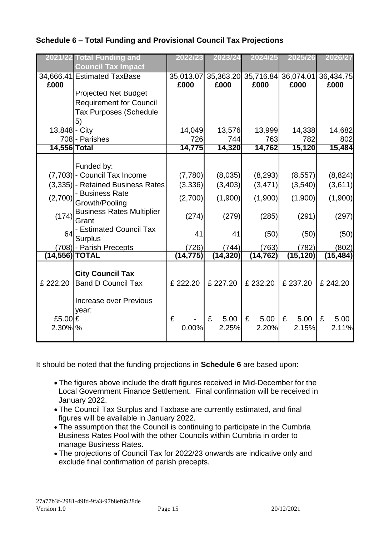# **Schedule 6 – Total Funding and Provisional Council Tax Projections**

| 2021/22        | <b>Total Funding and</b><br><b>Council Tax Impact</b> | 2022/23           | 2023/24           | 2024/25           | 2025/26           | 2026/27           |
|----------------|-------------------------------------------------------|-------------------|-------------------|-------------------|-------------------|-------------------|
| £000           | 34,666.41 Estimated TaxBase                           | 35,013.07<br>£000 | 35,363.20<br>£000 | 35,716.84<br>£000 | 36,074.01<br>£000 | 36,434.75<br>£000 |
|                | <b>Projected Net Budget</b>                           |                   |                   |                   |                   |                   |
|                | <b>Requirement for Council</b>                        |                   |                   |                   |                   |                   |
|                | <b>Tax Purposes (Schedule</b>                         |                   |                   |                   |                   |                   |
|                | 5)                                                    |                   |                   |                   |                   |                   |
| 13,848 - City  | 708-Parishes                                          | 14,049<br>726     | 13,576<br>744     | 13,999<br>763     | 14,338<br>782     | 14,682<br>802     |
| 14,556 Total   |                                                       | 14,775            | 14,320            | 14,762            | 15,120            | 15,484            |
|                |                                                       |                   |                   |                   |                   |                   |
|                | Funded by:                                            |                   |                   |                   |                   |                   |
|                | (7,703) - Council Tax Income                          | (7,780)           | (8,035)           | (8, 293)          | (8, 557)          | (8,824)           |
|                | (3,335) - Retained Business Rates                     | (3,336)           | (3,403)           | (3, 471)          | (3,540)           | (3,611)           |
| (2,700)        | - Business Rate<br>Growth/Pooling                     | (2,700)           | (1,900)           | (1,900)           | (1,900)           | (1,900)           |
| (174)          | <b>Business Rates Multiplier</b><br>Grant             | (274)             | (279)             | (285)             | (291)             | (297)             |
| 64             | - Estimated Council Tax<br><b>Surplus</b>             | 41                | 41                | (50)              | (50)              | (50)              |
|                | (708) - Parish Precepts                               | (726)             | (744)             | (763)             | (782)             | (802)             |
| (14,556) TOTAL |                                                       | (14, 775)         | (14, 320)         | (14, 762)         | (15, 120)         | (15, 484)         |
| £ 222.20       | <b>City Council Tax</b><br><b>Band D Council Tax</b>  | £222.20           | £ 227.20          | £232.20           | £237.20           | £ 242.20          |
|                | <b>Increase over Previous</b><br>year:                |                   |                   |                   |                   |                   |
| £5.00 $E$      |                                                       | £                 | £<br>5.00         | £<br>5.00         | £<br>5.00         | £<br>5.00         |
| 2.30% %        |                                                       | 0.00%             | 2.25%             | 2.20%             | 2.15%             | 2.11%             |

It should be noted that the funding projections in **Schedule 6** are based upon:

- The figures above include the draft figures received in Mid-December for the Local Government Finance Settlement. Final confirmation will be received in January 2022.
- The Council Tax Surplus and Taxbase are currently estimated, and final figures will be available in January 2022.
- The assumption that the Council is continuing to participate in the Cumbria Business Rates Pool with the other Councils within Cumbria in order to manage Business Rates.
- The projections of Council Tax for 2022/23 onwards are indicative only and exclude final confirmation of parish precepts.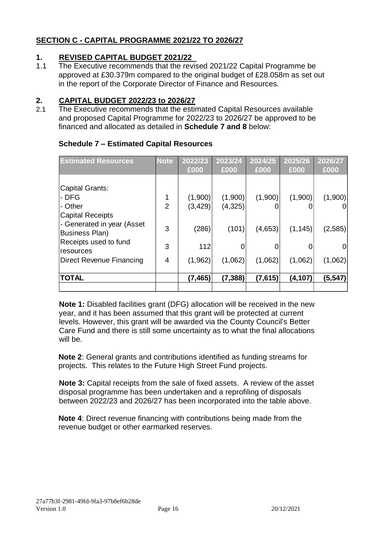### **SECTION C - CAPITAL PROGRAMME 2021/22 TO 2026/27**

# **1. REVISED CAPITAL BUDGET 2021/22**<br>**1.1** The Executive recommends that the revis

The Executive recommends that the revised 2021/22 Capital Programme be approved at £30.379m compared to the original budget of £28.058m as set out in the report of the Corporate Director of Finance and Resources.

# **2. CAPITAL BUDGET 2022/23 to 2026/27**

2.1 The Executive recommends that the estimated Capital Resources available and proposed Capital Programme for 2022/23 to 2026/27 be approved to be financed and allocated as detailed in **Schedule 7 and 8** below:

| <b>Estimated Resources</b>      | <b>Note</b>    | 2022/23  | 2023/24  | 2024/25 | 2025/26  | 2026/27 |
|---------------------------------|----------------|----------|----------|---------|----------|---------|
|                                 |                | £000     | £000     | £000    | £000     | £000    |
|                                 |                |          |          |         |          |         |
| Capital Grants:                 |                |          |          |         |          |         |
| - DFG                           |                | (1,900)  | (1,900)  | (1,900) | (1,900)  | (1,900) |
| - Other                         | $\overline{2}$ | (3, 429) | (4,325)  |         |          | 01      |
| <b>Capital Receipts</b>         |                |          |          |         |          |         |
| - Generated in year (Asset      | 3              | (286)    | (101)    | (4,653) | (1, 145) | (2,585) |
| <b>Business Plan)</b>           |                |          |          |         |          |         |
| Receipts used to fund           | 3              | 112      |          | 0       |          | 01      |
| resources                       | 4              |          |          |         |          |         |
| <b>Direct Revenue Financing</b> |                | (1,962)  | (1,062)  | (1,062) | (1,062)  | (1,062) |
|                                 |                |          |          |         |          |         |
| <b>TOTAL</b>                    |                | (7, 465) | (7, 388) | (7,615) | (4, 107) | (5,547) |
|                                 |                |          |          |         |          |         |

#### **Schedule 7 – Estimated Capital Resources**

**Note 1:** Disabled facilities grant (DFG) allocation will be received in the new year, and it has been assumed that this grant will be protected at current levels. However, this grant will be awarded via the County Council's Better Care Fund and there is still some uncertainty as to what the final allocations will be.

**Note 2**: General grants and contributions identified as funding streams for projects. This relates to the Future High Street Fund projects.

**Note 3:** Capital receipts from the sale of fixed assets. A review of the asset disposal programme has been undertaken and a reprofiling of disposals between 2022/23 and 2026/27 has been incorporated into the table above.

**Note 4**: Direct revenue financing with contributions being made from the revenue budget or other earmarked reserves.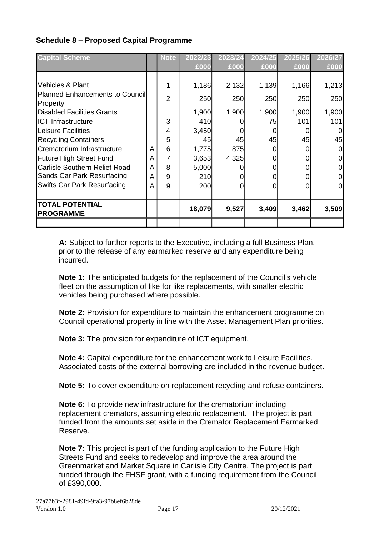# **Schedule 8 – Proposed Capital Programme**

| <b>Capital Scheme</b>                         |   | Note           | 2022/23 | 2023/24    | 2024/25  | 2025/26 | 2026/27 |
|-----------------------------------------------|---|----------------|---------|------------|----------|---------|---------|
|                                               |   |                | £000    | £000       | £000     | £000    | £000    |
|                                               |   |                |         |            |          |         |         |
| Vehicles & Plant                              |   | 1              | 1,186   | 2,132      | 1,139    | 1,166   | 1,213   |
| <b>Planned Enhancements to Councill</b>       |   | $\overline{2}$ | 250     | <b>250</b> | 250      | 250     | 250     |
| Property<br><b>Disabled Facilities Grants</b> |   |                | 1,900   | 1,900      | 1,900    | 1,900   | 1,900   |
| <b>ICT Infrastructure</b>                     |   | 3              | 410     |            | 75       | 101     | 101     |
| Leisure Facilities                            |   | 4              | 3,450   |            |          |         | 0       |
| <b>Recycling Containers</b>                   |   | 5              | 45      | 45         | 45       | 45      | 45      |
| Crematorium Infrastructure                    | A | 6              | 1,775   | 875        | $\Omega$ |         |         |
| <b>Future High Street Fund</b>                | A | 7              | 3,653   | 4,325      | 0        |         | 0       |
| <b>Carlisle Southern Relief Road</b>          | A | 8              | 5,000   |            |          |         | 0       |
| Sands Car Park Resurfacing                    | A | 9              | 210     |            |          |         | 0       |
| <b>Swifts Car Park Resurfacing</b>            | A | 9              | 200     | 01         | O        |         | 0       |
|                                               |   |                |         |            |          |         |         |
| <b>TOTAL POTENTIAL</b><br><b>PROGRAMME</b>    |   |                | 18,079  | 9,527      | 3,409    | 3,462   | 3,509   |
|                                               |   |                |         |            |          |         |         |

**A:** Subject to further reports to the Executive, including a full Business Plan, prior to the release of any earmarked reserve and any expenditure being incurred.

**Note 1:** The anticipated budgets for the replacement of the Council's vehicle fleet on the assumption of like for like replacements, with smaller electric vehicles being purchased where possible.

**Note 2:** Provision for expenditure to maintain the enhancement programme on Council operational property in line with the Asset Management Plan priorities.

**Note 3:** The provision for expenditure of ICT equipment.

**Note 4:** Capital expenditure for the enhancement work to Leisure Facilities. Associated costs of the external borrowing are included in the revenue budget.

**Note 5:** To cover expenditure on replacement recycling and refuse containers.

**Note 6**: To provide new infrastructure for the crematorium including replacement cremators, assuming electric replacement. The project is part funded from the amounts set aside in the Cremator Replacement Earmarked Reserve.

**Note 7:** This project is part of the funding application to the Future High Streets Fund and seeks to redevelop and improve the area around the Greenmarket and Market Square in Carlisle City Centre. The project is part funded through the FHSF grant, with a funding requirement from the Council of £390,000.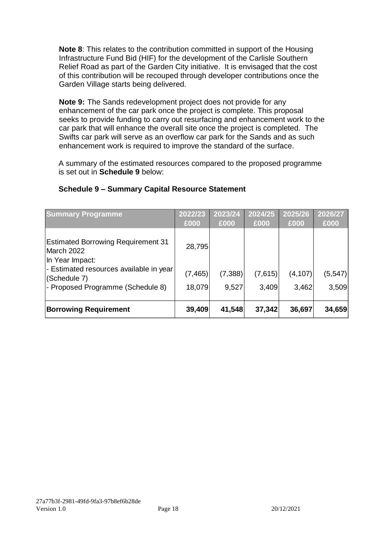**Note 8**: This relates to the contribution committed in support of the Housing Infrastructure Fund Bid (HIF) for the development of the Carlisle Southern Relief Road as part of the Garden City initiative. It is envisaged that the cost of this contribution will be recouped through developer contributions once the Garden Village starts being delivered.

**Note 9:** The Sands redevelopment project does not provide for any enhancement of the car park once the project is complete. This proposal seeks to provide funding to carry out resurfacing and enhancement work to the car park that will enhance the overall site once the project is completed. The Swifts car park will serve as an overflow car park for the Sands and as such enhancement work is required to improve the standard of the surface.

A summary of the estimated resources compared to the proposed programme is set out in **Schedule 9** below:

| <b>Summary Programme</b>                                                   | 2022/23  | 2023/24 | 2024/25 | 2025/26  | 2026/27 |
|----------------------------------------------------------------------------|----------|---------|---------|----------|---------|
|                                                                            | £000     | £000    | £000    | £000     | £000    |
| <b>Estimated Borrowing Requirement 31</b><br>March 2022<br>In Year Impact: | 28,795   |         |         |          |         |
| - Estimated resources available in year<br>(Schedule 7)                    | (7, 465) | (7,388) | (7,615) | (4, 107) | (5,547) |
| - Proposed Programme (Schedule 8)                                          | 18,079   | 9,527   | 3,409   | 3,462    | 3,509   |
| <b>Borrowing Requirement</b>                                               | 39,409   | 41,548  | 37,342  | 36,697   | 34,659  |

#### **Schedule 9 – Summary Capital Resource Statement**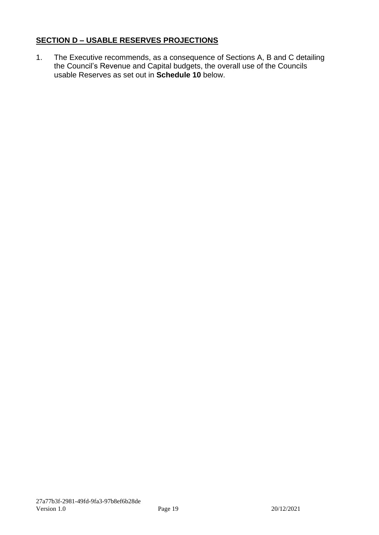#### **SECTION D – USABLE RESERVES PROJECTIONS**

1. The Executive recommends, as a consequence of Sections A, B and C detailing the Council's Revenue and Capital budgets, the overall use of the Councils usable Reserves as set out in **Schedule 10** below.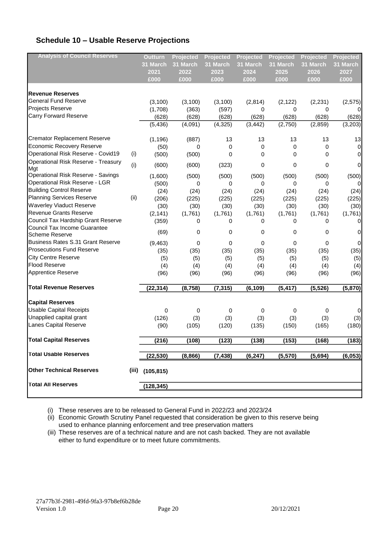# **Schedule 10 – Usable Reserve Projections**

| <b>Analysis of Council Reserves</b> |      | <b>Outturn</b>    | Projected | <b>Projected</b> | Projected | Projected | Projected   | Projected   |
|-------------------------------------|------|-------------------|-----------|------------------|-----------|-----------|-------------|-------------|
|                                     |      | 31 March          | 31 March  | 31 March         | 31 March  | 31 March  | 31 March    | 31 March    |
|                                     |      | 2021              | 2022      | 2023             | 2024      | 2025      | 2026        | 2027        |
|                                     |      | £000              | £000      | £000             | £000      | £000      | £000        | £000        |
|                                     |      |                   |           |                  |           |           |             |             |
| <b>Revenue Reserves</b>             |      |                   |           |                  |           |           |             |             |
| <b>General Fund Reserve</b>         |      | (3, 100)          | (3, 100)  | (3, 100)         | (2,814)   | (2, 122)  | (2, 231)    | (2, 575)    |
| Projects Reserve                    |      | (1,708)           | (363)     | (597)            | 0         | 0         | 0           | 0           |
| <b>Carry Forward Reserve</b>        |      | (628)             | (628)     | (628)            | (628)     | (628)     | (628)       | (628)       |
|                                     |      | (5, 436)          | (4,091)   | (4, 325)         | (3, 442)  | (2,750)   | (2,859)     | (3,203)     |
| <b>Cremator Replacement Reserve</b> |      | (1, 196)          | (887)     | 13               | 13        | 13        | 13          | 13          |
| Economic Recovery Reserve           |      | (50)              | 0         | 0                | 0         | 0         | $\mathbf 0$ | $\mathbf 0$ |
| Operational Risk Reserve - Covid19  | (i)  | (500)             | (500)     | 0                | 0         | 0         | 0           | $\mathbf 0$ |
| Operational Risk Reserve - Treasury |      |                   |           |                  |           |           |             |             |
| Mgt                                 | (i)  | (600)             | (600)     | (323)            | 0         | 0         | 0           | $\mathbf 0$ |
| Operational Risk Reserve - Savings  |      | (1,600)           | (500)     | (500)            | (500)     | (500)     | (500)       | (500)       |
| Operational Risk Reserve - LGR      |      | (500)             | 0         | 0                | 0         | 0         | 0           | $\mathbf 0$ |
| <b>Building Control Reserve</b>     |      | (24)              | (24)      | (24)             | (24)      | (24)      | (24)        | (24)        |
| <b>Planning Services Reserve</b>    | (ii) | (206)             | (225)     | (225)            | (225)     | (225)     | (225)       | (225)       |
| <b>Waverley Viaduct Reserve</b>     |      | (30)              | (30)      | (30)             | (30)      | (30)      | (30)        | (30)        |
| <b>Revenue Grants Reserve</b>       |      | (2, 141)          | (1,761)   | (1,761)          | (1,761)   | (1,761)   | (1,761)     | (1,761)     |
| Council Tax Hardship Grant Reserve  |      | (359)             | 0         | 0                | 0         | 0         | 0           | $\mathbf 0$ |
| Council Tax Income Guarantee        |      |                   |           |                  |           |           |             |             |
| <b>Scheme Reserve</b>               |      | (69)              | 0         | 0                | 0         | 0         | 0           | $\mathbf 0$ |
| Business Rates S.31 Grant Reserve   |      | (9, 463)          | 0         | 0                | 0         | 0         | 0           | $\mathbf 0$ |
| <b>Prosecutions Fund Reserve</b>    |      | (35)              | (35)      | (35)             | (35)      | (35)      | (35)        | (35)        |
| City Centre Reserve                 |      | (5)               | (5)       | (5)              | (5)       | (5)       | (5)         | (5)         |
| <b>Flood Reserve</b>                |      | (4)               | (4)       | (4)              | (4)       | (4)       | (4)         | (4)         |
| Apprentice Reserve                  |      | (96)              | (96)      | (96)             | (96)      | (96)      | (96)        | (96)        |
| <b>Total Revenue Reserves</b>       |      | (22, 314)         | (8, 758)  | (7, 315)         | (6, 109)  | (5, 417)  | (5, 526)    | (5,870)     |
|                                     |      |                   |           |                  |           |           |             |             |
| <b>Capital Reserves</b>             |      |                   |           |                  |           |           |             |             |
| <b>Usable Capital Receipts</b>      |      | 0                 | 0         | 0                | 0         | 0         | 0           | $\mathbf 0$ |
| Unapplied capital grant             |      | (126)             | (3)       | (3)              | (3)       | (3)       | (3)         | (3)         |
| Lanes Capital Reserve               |      | (90)              | (105)     | (120)            | (135)     | (150)     | (165)       | (180)       |
| <b>Total Capital Reserves</b>       |      | (216)             | (108)     | (123)            | (138)     | (153)     | (168)       | (183)       |
| <b>Total Usable Reserves</b>        |      | (22, 530)         | (8,866)   | (7, 438)         | (6, 247)  | (5,570)   | (5,694)     | (6,053)     |
| <b>Other Technical Reserves</b>     |      | $(iii)$ (105,815) |           |                  |           |           |             |             |
| <b>Total All Reserves</b>           |      | (128, 345)        |           |                  |           |           |             |             |
|                                     |      |                   |           |                  |           |           |             |             |

(i) These reserves are to be released to General Fund in 2022/23 and 2023/24

(ii) Economic Growth Scrutiny Panel requested that consideration be given to this reserve being used to enhance planning enforcement and tree preservation matters

(iii) These reserves are of a technical nature and are not cash backed. They are not available either to fund expenditure or to meet future commitments.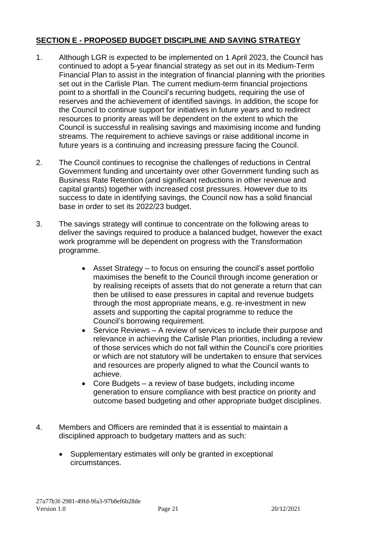#### **SECTION E - PROPOSED BUDGET DISCIPLINE AND SAVING STRATEGY**

- 1. Although LGR is expected to be implemented on 1 April 2023, the Council has continued to adopt a 5-year financial strategy as set out in its Medium-Term Financial Plan to assist in the integration of financial planning with the priorities set out in the Carlisle Plan. The current medium-term financial projections point to a shortfall in the Council's recurring budgets, requiring the use of reserves and the achievement of identified savings. In addition, the scope for the Council to continue support for initiatives in future years and to redirect resources to priority areas will be dependent on the extent to which the Council is successful in realising savings and maximising income and funding streams. The requirement to achieve savings or raise additional income in future years is a continuing and increasing pressure facing the Council.
- 2. The Council continues to recognise the challenges of reductions in Central Government funding and uncertainty over other Government funding such as Business Rate Retention (and significant reductions in other revenue and capital grants) together with increased cost pressures. However due to its success to date in identifying savings, the Council now has a solid financial base in order to set its 2022/23 budget.
- 3. The savings strategy will continue to concentrate on the following areas to deliver the savings required to produce a balanced budget, however the exact work programme will be dependent on progress with the Transformation programme.
	- Asset Strategy to focus on ensuring the council's asset portfolio maximises the benefit to the Council through income generation or by realising receipts of assets that do not generate a return that can then be utilised to ease pressures in capital and revenue budgets through the most appropriate means, e.g. re-investment in new assets and supporting the capital programme to reduce the Council's borrowing requirement.
	- Service Reviews A review of services to include their purpose and relevance in achieving the Carlisle Plan priorities, including a review of those services which do not fall within the Council's core priorities or which are not statutory will be undertaken to ensure that services and resources are properly aligned to what the Council wants to achieve.
	- Core Budgets a review of base budgets, including income generation to ensure compliance with best practice on priority and outcome based budgeting and other appropriate budget disciplines.
- 4. Members and Officers are reminded that it is essential to maintain a disciplined approach to budgetary matters and as such:
	- Supplementary estimates will only be granted in exceptional circumstances.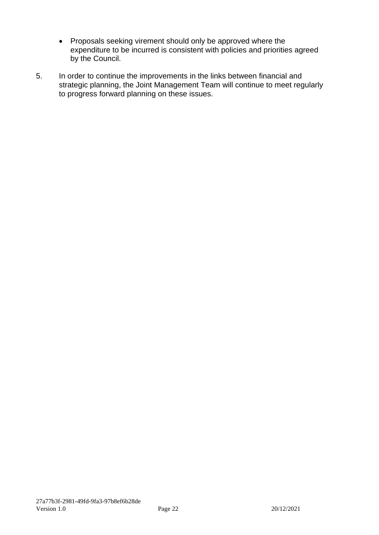- Proposals seeking virement should only be approved where the expenditure to be incurred is consistent with policies and priorities agreed by the Council.
- 5. In order to continue the improvements in the links between financial and strategic planning, the Joint Management Team will continue to meet regularly to progress forward planning on these issues.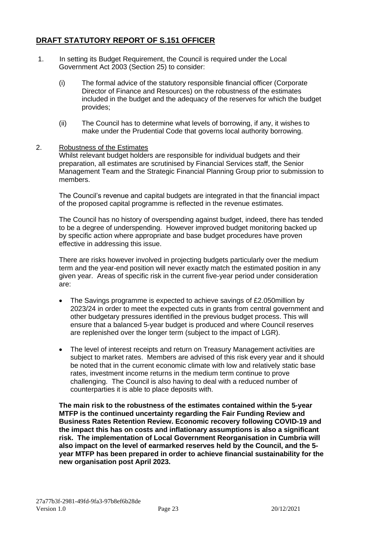#### **DRAFT STATUTORY REPORT OF S.151 OFFICER**

- 1. In setting its Budget Requirement, the Council is required under the Local Government Act 2003 (Section 25) to consider:
	- (i) The formal advice of the statutory responsible financial officer (Corporate Director of Finance and Resources) on the robustness of the estimates included in the budget and the adequacy of the reserves for which the budget provides;
	- (ii) The Council has to determine what levels of borrowing, if any, it wishes to make under the Prudential Code that governs local authority borrowing.

#### 2. Robustness of the Estimates

Whilst relevant budget holders are responsible for individual budgets and their preparation, all estimates are scrutinised by Financial Services staff, the Senior Management Team and the Strategic Financial Planning Group prior to submission to members.

The Council's revenue and capital budgets are integrated in that the financial impact of the proposed capital programme is reflected in the revenue estimates.

The Council has no history of overspending against budget, indeed, there has tended to be a degree of underspending. However improved budget monitoring backed up by specific action where appropriate and base budget procedures have proven effective in addressing this issue.

There are risks however involved in projecting budgets particularly over the medium term and the year-end position will never exactly match the estimated position in any given year. Areas of specific risk in the current five-year period under consideration are:

- The Savings programme is expected to achieve savings of £2.050 million by 2023/24 in order to meet the expected cuts in grants from central government and other budgetary pressures identified in the previous budget process. This will ensure that a balanced 5-year budget is produced and where Council reserves are replenished over the longer term (subject to the impact of LGR).
- The level of interest receipts and return on Treasury Management activities are subject to market rates. Members are advised of this risk every year and it should be noted that in the current economic climate with low and relatively static base rates, investment income returns in the medium term continue to prove challenging. The Council is also having to deal with a reduced number of counterparties it is able to place deposits with.

**The main risk to the robustness of the estimates contained within the 5-year MTFP is the continued uncertainty regarding the Fair Funding Review and Business Rates Retention Review. Economic recovery following COVID-19 and the impact this has on costs and inflationary assumptions is also a significant risk. The implementation of Local Government Reorganisation in Cumbria will also impact on the level of earmarked reserves held by the Council, and the 5 year MTFP has been prepared in order to achieve financial sustainability for the new organisation post April 2023.**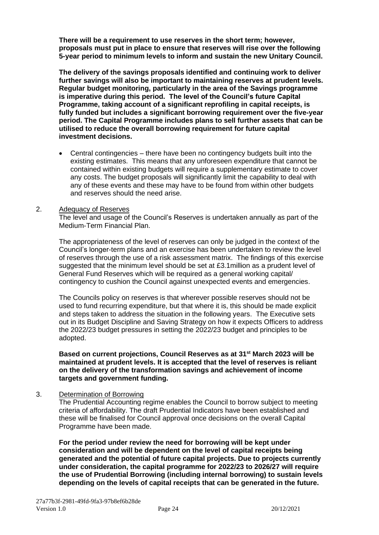**There will be a requirement to use reserves in the short term; however, proposals must put in place to ensure that reserves will rise over the following 5-year period to minimum levels to inform and sustain the new Unitary Council.**

**The delivery of the savings proposals identified and continuing work to deliver further savings will also be important to maintaining reserves at prudent levels. Regular budget monitoring, particularly in the area of the Savings programme is imperative during this period. The level of the Council's future Capital Programme, taking account of a significant reprofiling in capital receipts, is fully funded but includes a significant borrowing requirement over the five-year period. The Capital Programme includes plans to sell further assets that can be utilised to reduce the overall borrowing requirement for future capital investment decisions.** 

• Central contingencies – there have been no contingency budgets built into the existing estimates. This means that any unforeseen expenditure that cannot be contained within existing budgets will require a supplementary estimate to cover any costs. The budget proposals will significantly limit the capability to deal with any of these events and these may have to be found from within other budgets and reserves should the need arise.

#### 2. Adequacy of Reserves

The level and usage of the Council's Reserves is undertaken annually as part of the Medium-Term Financial Plan.

The appropriateness of the level of reserves can only be judged in the context of the Council's longer-term plans and an exercise has been undertaken to review the level of reserves through the use of a risk assessment matrix. The findings of this exercise suggested that the minimum level should be set at £3.1million as a prudent level of General Fund Reserves which will be required as a general working capital/ contingency to cushion the Council against unexpected events and emergencies.

The Councils policy on reserves is that wherever possible reserves should not be used to fund recurring expenditure, but that where it is, this should be made explicit and steps taken to address the situation in the following years. The Executive sets out in its Budget Discipline and Saving Strategy on how it expects Officers to address the 2022/23 budget pressures in setting the 2022/23 budget and principles to be adopted.

**Based on current projections, Council Reserves as at 31st March 2023 will be maintained at prudent levels. It is accepted that the level of reserves is reliant on the delivery of the transformation savings and achievement of income targets and government funding.** 

#### 3. Determination of Borrowing

The Prudential Accounting regime enables the Council to borrow subject to meeting criteria of affordability. The draft Prudential Indicators have been established and these will be finalised for Council approval once decisions on the overall Capital Programme have been made.

**For the period under review the need for borrowing will be kept under consideration and will be dependent on the level of capital receipts being generated and the potential of future capital projects. Due to projects currently under consideration, the capital programme for 2022/23 to 2026/27 will require the use of Prudential Borrowing (including internal borrowing) to sustain levels depending on the levels of capital receipts that can be generated in the future.**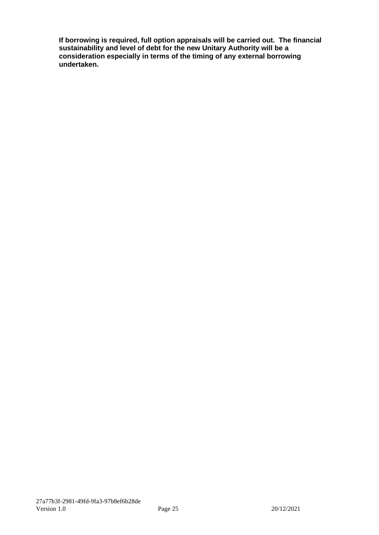**If borrowing is required, full option appraisals will be carried out. The financial sustainability and level of debt for the new Unitary Authority will be a consideration especially in terms of the timing of any external borrowing undertaken.**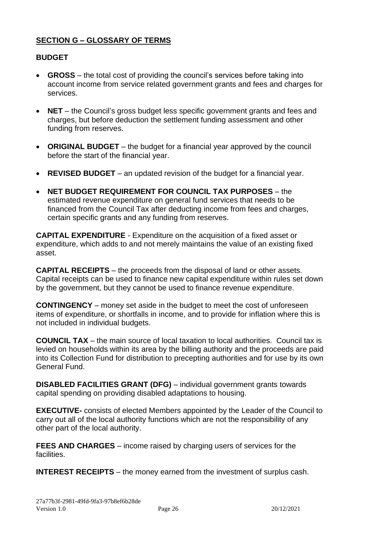#### **SECTION G – GLOSSARY OF TERMS**

#### **BUDGET**

- **GROSS** the total cost of providing the council's services before taking into account income from service related government grants and fees and charges for services.
- **NET** the Council's gross budget less specific government grants and fees and charges, but before deduction the settlement funding assessment and other funding from reserves.
- **ORIGINAL BUDGET** the budget for a financial year approved by the council before the start of the financial year.
- **REVISED BUDGET** an updated revision of the budget for a financial year.
- **NET BUDGET REQUIREMENT FOR COUNCIL TAX PURPOSES** the estimated revenue expenditure on general fund services that needs to be financed from the Council Tax after deducting income from fees and charges, certain specific grants and any funding from reserves.

**CAPITAL EXPENDITURE** - Expenditure on the acquisition of a fixed asset or expenditure, which adds to and not merely maintains the value of an existing fixed asset.

**CAPITAL RECEIPTS** – the proceeds from the disposal of land or other assets. Capital receipts can be used to finance new capital expenditure within rules set down by the government, but they cannot be used to finance revenue expenditure.

**CONTINGENCY** – money set aside in the budget to meet the cost of unforeseen items of expenditure, or shortfalls in income, and to provide for inflation where this is not included in individual budgets.

**COUNCIL TAX** – the main source of local taxation to local authorities. Council tax is levied on households within its area by the billing authority and the proceeds are paid into its Collection Fund for distribution to precepting authorities and for use by its own General Fund.

**DISABLED FACILITIES GRANT (DFG)** – individual government grants towards capital spending on providing disabled adaptations to housing.

**EXECUTIVE-** consists of elected Members appointed by the Leader of the Council to carry out all of the local authority functions which are not the responsibility of any other part of the local authority.

**FEES AND CHARGES** – income raised by charging users of services for the facilities.

**INTEREST RECEIPTS** – the money earned from the investment of surplus cash.